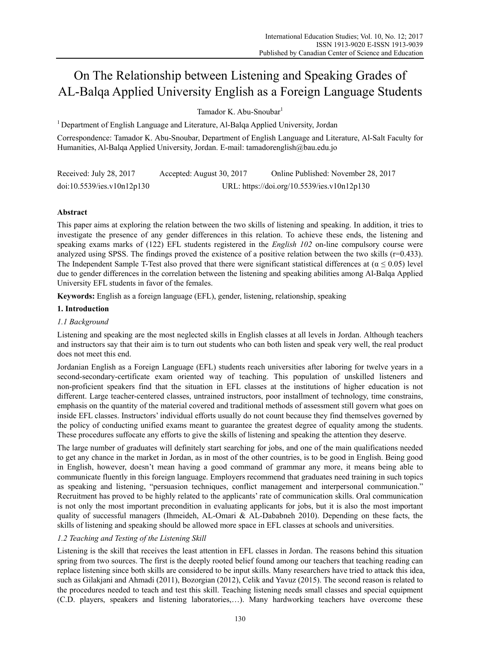# On The Relationship between Listening and Speaking Grades of AL-Balqa Applied University English as a Foreign Language Students

Tamador K. Abu-Snoubar<sup>1</sup>

1 Department of English Language and Literature, Al-Balqa Applied University, Jordan

Correspondence: Tamador K. Abu-Snoubar, Department of English Language and Literature, Al-Salt Faculty for Humanities, Al-Balqa Applied University, Jordan. E-mail: tamadorenglish@bau.edu.jo

| Received: July 28, 2017    | Accepted: August 30, 2017 | Online Published: November 28, 2017         |
|----------------------------|---------------------------|---------------------------------------------|
| doi:10.5539/ies.v10n12p130 |                           | URL: https://doi.org/10.5539/ies.v10n12p130 |

# **Abstract**

This paper aims at exploring the relation between the two skills of listening and speaking. In addition, it tries to investigate the presence of any gender differences in this relation. To achieve these ends, the listening and speaking exams marks of (122) EFL students registered in the *English 102* on-line compulsory course were analyzed using SPSS. The findings proved the existence of a positive relation between the two skills  $(r=0.433)$ . The Independent Sample T-Test also proved that there were significant statistical differences at ( $\alpha \le 0.05$ ) level due to gender differences in the correlation between the listening and speaking abilities among Al-Balqa Applied University EFL students in favor of the females.

**Keywords:** English as a foreign language (EFL), gender, listening, relationship, speaking

## **1. Introduction**

## *1.1 Background*

Listening and speaking are the most neglected skills in English classes at all levels in Jordan. Although teachers and instructors say that their aim is to turn out students who can both listen and speak very well, the real product does not meet this end.

Jordanian English as a Foreign Language (EFL) students reach universities after laboring for twelve years in a second-secondary-certificate exam oriented way of teaching. This population of unskilled listeners and non-proficient speakers find that the situation in EFL classes at the institutions of higher education is not different. Large teacher-centered classes, untrained instructors, poor installment of technology, time constrains, emphasis on the quantity of the material covered and traditional methods of assessment still govern what goes on inside EFL classes. Instructors' individual efforts usually do not count because they find themselves governed by the policy of conducting unified exams meant to guarantee the greatest degree of equality among the students. These procedures suffocate any efforts to give the skills of listening and speaking the attention they deserve.

The large number of graduates will definitely start searching for jobs, and one of the main qualifications needed to get any chance in the market in Jordan, as in most of the other countries, is to be good in English. Being good in English, however, doesn't mean having a good command of grammar any more, it means being able to communicate fluently in this foreign language. Employers recommend that graduates need training in such topics as speaking and listening, "persuasion techniques, conflict management and interpersonal communication." Recruitment has proved to be highly related to the applicants' rate of communication skills. Oral communication is not only the most important precondition in evaluating applicants for jobs, but it is also the most important quality of successful managers (Ihmeideh, AL-Omari & AL-Dababneh 2010). Depending on these facts, the skills of listening and speaking should be allowed more space in EFL classes at schools and universities.

# *1.2 Teaching and Testing of the Listening Skill*

Listening is the skill that receives the least attention in EFL classes in Jordan. The reasons behind this situation spring from two sources. The first is the deeply rooted belief found among our teachers that teaching reading can replace listening since both skills are considered to be input skills. Many researchers have tried to attack this idea, such as Gilakjani and Ahmadi (2011), Bozorgian (2012), Celik and Yavuz (2015). The second reason is related to the procedures needed to teach and test this skill. Teaching listening needs small classes and special equipment (C.D. players, speakers and listening laboratories,…). Many hardworking teachers have overcome these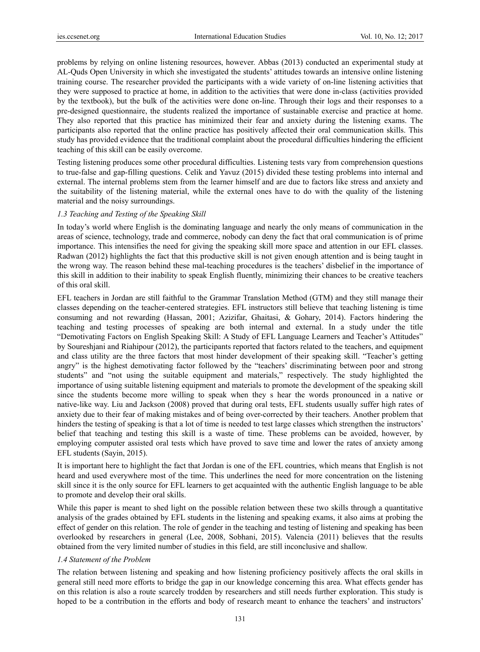problems by relying on online listening resources, however. Abbas (2013) conducted an experimental study at AL-Quds Open University in which she investigated the students' attitudes towards an intensive online listening training course. The researcher provided the participants with a wide variety of on-line listening activities that they were supposed to practice at home, in addition to the activities that were done in-class (activities provided by the textbook), but the bulk of the activities were done on-line. Through their logs and their responses to a pre-designed questionnaire, the students realized the importance of sustainable exercise and practice at home. They also reported that this practice has minimized their fear and anxiety during the listening exams. The participants also reported that the online practice has positively affected their oral communication skills. This study has provided evidence that the traditional complaint about the procedural difficulties hindering the efficient teaching of this skill can be easily overcome.

Testing listening produces some other procedural difficulties. Listening tests vary from comprehension questions to true-false and gap-filling questions. Celik and Yavuz (2015) divided these testing problems into internal and external. The internal problems stem from the learner himself and are due to factors like stress and anxiety and the suitability of the listening material, while the external ones have to do with the quality of the listening material and the noisy surroundings.

#### *1.3 Teaching and Testing of the Speaking Skill*

In today's world where English is the dominating language and nearly the only means of communication in the areas of science, technology, trade and commerce, nobody can deny the fact that oral communication is of prime importance. This intensifies the need for giving the speaking skill more space and attention in our EFL classes. Radwan (2012) highlights the fact that this productive skill is not given enough attention and is being taught in the wrong way. The reason behind these mal-teaching procedures is the teachers' disbelief in the importance of this skill in addition to their inability to speak English fluently, minimizing their chances to be creative teachers of this oral skill.

EFL teachers in Jordan are still faithful to the Grammar Translation Method (GTM) and they still manage their classes depending on the teacher-centered strategies. EFL instructors still believe that teaching listening is time consuming and not rewarding (Hassan, 2001; Azizifar, Ghaitasi, & Gohary, 2014). Factors hindering the teaching and testing processes of speaking are both internal and external. In a study under the title "Demotivating Factors on English Speaking Skill: A Study of EFL Language Learners and Teacher's Attitudes" by Soureshjani and Riahipour (2012), the participants reported that factors related to the teachers, and equipment and class utility are the three factors that most hinder development of their speaking skill. "Teacher's getting angry" is the highest demotivating factor followed by the "teachers' discriminating between poor and strong students" and "not using the suitable equipment and materials," respectively. The study highlighted the importance of using suitable listening equipment and materials to promote the development of the speaking skill since the students become more willing to speak when they s hear the words pronounced in a native or native-like way. Liu and Jackson (2008) proved that during oral tests, EFL students usually suffer high rates of anxiety due to their fear of making mistakes and of being over-corrected by their teachers. Another problem that hinders the testing of speaking is that a lot of time is needed to test large classes which strengthen the instructors' belief that teaching and testing this skill is a waste of time. These problems can be avoided, however, by employing computer assisted oral tests which have proved to save time and lower the rates of anxiety among EFL students (Sayin, 2015).

It is important here to highlight the fact that Jordan is one of the EFL countries, which means that English is not heard and used everywhere most of the time. This underlines the need for more concentration on the listening skill since it is the only source for EFL learners to get acquainted with the authentic English language to be able to promote and develop their oral skills.

While this paper is meant to shed light on the possible relation between these two skills through a quantitative analysis of the grades obtained by EFL students in the listening and speaking exams, it also aims at probing the effect of gender on this relation. The role of gender in the teaching and testing of listening and speaking has been overlooked by researchers in general (Lee, 2008, Sobhani, 2015). Valencia (2011) believes that the results obtained from the very limited number of studies in this field, are still inconclusive and shallow.

## *1.4 Statement of the Problem*

The relation between listening and speaking and how listening proficiency positively affects the oral skills in general still need more efforts to bridge the gap in our knowledge concerning this area. What effects gender has on this relation is also a route scarcely trodden by researchers and still needs further exploration. This study is hoped to be a contribution in the efforts and body of research meant to enhance the teachers' and instructors'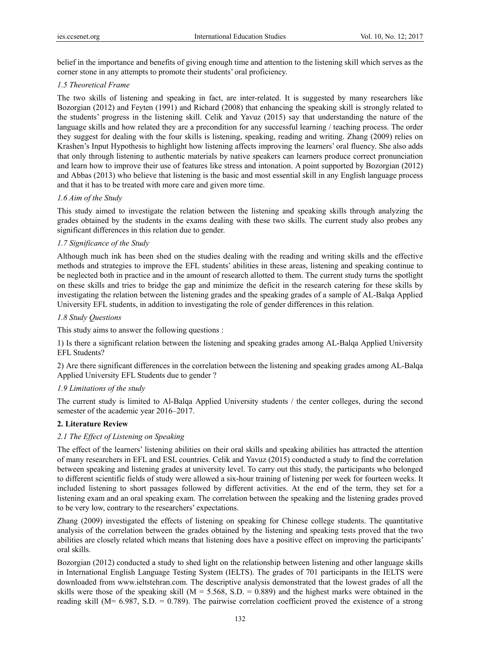belief in the importance and benefits of giving enough time and attention to the listening skill which serves as the corner stone in any attempts to promote their students' oral proficiency.

## *1.5 Theoretical Frame*

The two skills of listening and speaking in fact, are inter-related. It is suggested by many researchers like Bozorgian (2012) and Feyten (1991) and Richard (2008) that enhancing the speaking skill is strongly related to the students' progress in the listening skill. Celik and Yavuz (2015) say that understanding the nature of the language skills and how related they are a precondition for any successful learning / teaching process. The order they suggest for dealing with the four skills is listening, speaking, reading and writing. Zhang (2009) relies on Krashen's Input Hypothesis to highlight how listening affects improving the learners' oral fluency. She also adds that only through listening to authentic materials by native speakers can learners produce correct pronunciation and learn how to improve their use of features like stress and intonation. A point supported by Bozorgian (2012) and Abbas (2013) who believe that listening is the basic and most essential skill in any English language process and that it has to be treated with more care and given more time.

#### *1.6 Aim of the Study*

This study aimed to investigate the relation between the listening and speaking skills through analyzing the grades obtained by the students in the exams dealing with these two skills. The current study also probes any significant differences in this relation due to gender.

#### *1.7 Significance of the Study*

Although much ink has been shed on the studies dealing with the reading and writing skills and the effective methods and strategies to improve the EFL students' abilities in these areas, listening and speaking continue to be neglected both in practice and in the amount of research allotted to them. The current study turns the spotlight on these skills and tries to bridge the gap and minimize the deficit in the research catering for these skills by investigating the relation between the listening grades and the speaking grades of a sample of AL-Balqa Applied University EFL students, in addition to investigating the role of gender differences in this relation.

#### *1.8 Study Questions*

This study aims to answer the following questions :

1) Is there a significant relation between the listening and speaking grades among AL-Balqa Applied University EFL Students?

2) Are there significant differences in the correlation between the listening and speaking grades among AL-Balqa Applied University EFL Students due to gender ?

## *1.9 Limitations of the study*

The current study is limited to Al-Balqa Applied University students / the center colleges, during the second semester of the academic year 2016–2017.

## **2. Literature Review**

## *2.1 The Effect of Listening on Speaking*

The effect of the learners' listening abilities on their oral skills and speaking abilities has attracted the attention of many researchers in EFL and ESL countries. Celik and Yavuz (2015) conducted a study to find the correlation between speaking and listening grades at university level. To carry out this study, the participants who belonged to different scientific fields of study were allowed a six-hour training of listening per week for fourteen weeks. It included listening to short passages followed by different activities. At the end of the term, they set for a listening exam and an oral speaking exam. The correlation between the speaking and the listening grades proved to be very low, contrary to the researchers' expectations.

Zhang (2009) investigated the effects of listening on speaking for Chinese college students. The quantitative analysis of the correlation between the grades obtained by the listening and speaking tests proved that the two abilities are closely related which means that listening does have a positive effect on improving the participants' oral skills.

Bozorgian (2012) conducted a study to shed light on the relationship between listening and other language skills in International English Language Testing System (IELTS). The grades of 701 participants in the IELTS were downloaded from www.ieltstehran.com. The descriptive analysis demonstrated that the lowest grades of all the skills were those of the speaking skill ( $M = 5.568$ , S.D. = 0.889) and the highest marks were obtained in the reading skill (M= 6.987, S.D. = 0.789). The pairwise correlation coefficient proved the existence of a strong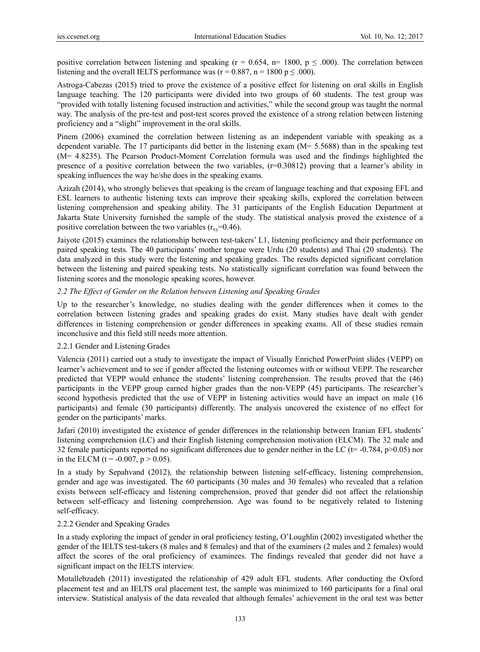positive correlation between listening and speaking ( $r = 0.654$ ,  $n = 1800$ ,  $p \le 0.00$ ). The correlation between listening and the overall IELTS performance was ( $r = 0.887$ ,  $n = 1800$  p  $\leq .000$ ).

Astroga-Cabezas (2015) tried to prove the existence of a positive effect for listening on oral skills in English language teaching. The 120 participants were divided into two groups of 60 students. The test group was "provided with totally listening focused instruction and activities," while the second group was taught the normal way. The analysis of the pre-test and post-test scores proved the existence of a strong relation between listening proficiency and a "slight" improvement in the oral skills.

Pinem (2006) examined the correlation between listening as an independent variable with speaking as a dependent variable. The 17 participants did better in the listening exam (M= 5.5688) than in the speaking test (M= 4.8235). The Pearson Product-Moment Correlation formula was used and the findings highlighted the presence of a positive correlation between the two variables, (r=0.30812) proving that a learner's ability in speaking influences the way he/she does in the speaking exams.

Azizah (2014), who strongly believes that speaking is the cream of language teaching and that exposing EFL and ESL learners to authentic listening texts can improve their speaking skills, explored the correlation between listening comprehension and speaking ability. The 31 participants of the English Education Department at Jakarta State University furnished the sample of the study. The statistical analysis proved the existence of a positive correlation between the two variables  $(r_{xy}=0.46)$ .

Jaiyote (2015) examines the relationship between test-takers' L1, listening proficiency and their performance on paired speaking tests. The 40 participants' mother tongue were Urdu (20 students) and Thai (20 students). The data analyzed in this study were the listening and speaking grades. The results depicted significant correlation between the listening and paired speaking tests. No statistically significant correlation was found between the listening scores and the monologic speaking scores, however.

#### *2.2 The Effect of Gender on the Relation between Listening and Speaking Grades*

Up to the researcher's knowledge, no studies dealing with the gender differences when it comes to the correlation between listening grades and speaking grades do exist. Many studies have dealt with gender differences in listening comprehension or gender differences in speaking exams. All of these studies remain inconclusive and this field still needs more attention.

## 2.2.1 Gender and Listening Grades

Valencia (2011) carried out a study to investigate the impact of Visually Enriched PowerPoint slides (VEPP) on learner's achievement and to see if gender affected the listening outcomes with or without VEPP. The researcher predicted that VEPP would enhance the students' listening comprehension. The results proved that the (46) participants in the VEPP group earned higher grades than the non-VEPP (45) participants. The researcher's second hypothesis predicted that the use of VEPP in listening activities would have an impact on male (16 participants) and female (30 participants) differently. The analysis uncovered the existence of no effect for gender on the participants' marks.

Jafari (2010) investigated the existence of gender differences in the relationship between Iranian EFL students' listening comprehension (LC) and their English listening comprehension motivation (ELCM). The 32 male and 32 female participants reported no significant differences due to gender neither in the LC ( $t=$  -0.784,  $p$ >0.05) nor in the ELCM (t =  $-0.007$ , p > 0.05).

In a study by Sepahvand (2012), the relationship between listening self-efficacy, listening comprehension, gender and age was investigated. The 60 participants (30 males and 30 females) who revealed that a relation exists between self-efficacy and listening comprehension, proved that gender did not affect the relationship between self-efficacy and listening comprehension. Age was found to be negatively related to listening self-efficacy.

#### 2.2.2 Gender and Speaking Grades

In a study exploring the impact of gender in oral proficiency testing, O'Loughlin (2002) investigated whether the gender of the IELTS test-takers (8 males and 8 females) and that of the examiners (2 males and 2 females) would affect the scores of the oral proficiency of examinees. The findings revealed that gender did not have a significant impact on the IELTS interview.

Motallebzadeh (2011) investigated the relationship of 429 adult EFL students. After conducting the Oxford placement test and an IELTS oral placement test, the sample was minimized to 160 participants for a final oral interview. Statistical analysis of the data revealed that although females' achievement in the oral test was better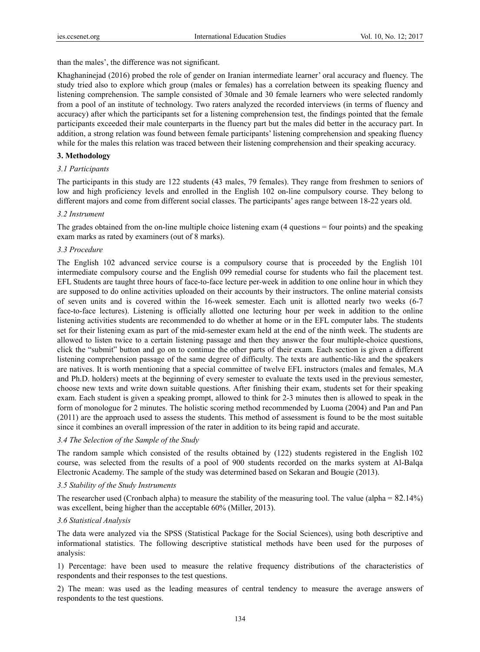than the males', the difference was not significant.

Khaghaninejad (2016) probed the role of gender on Iranian intermediate learner' oral accuracy and fluency. The study tried also to explore which group (males or females) has a correlation between its speaking fluency and listening comprehension. The sample consisted of 30male and 30 female learners who were selected randomly from a pool of an institute of technology. Two raters analyzed the recorded interviews (in terms of fluency and accuracy) after which the participants set for a listening comprehension test, the findings pointed that the female participants exceeded their male counterparts in the fluency part but the males did better in the accuracy part. In addition, a strong relation was found between female participants' listening comprehension and speaking fluency while for the males this relation was traced between their listening comprehension and their speaking accuracy.

## **3. Methodology**

#### *3.1 Participants*

The participants in this study are 122 students (43 males, 79 females). They range from freshmen to seniors of low and high proficiency levels and enrolled in the English 102 on-line compulsory course. They belong to different majors and come from different social classes. The participants' ages range between 18-22 years old.

#### *3.2 Instrument*

The grades obtained from the on-line multiple choice listening exam (4 questions = four points) and the speaking exam marks as rated by examiners (out of 8 marks).

#### *3.3 Procedure*

The English 102 advanced service course is a compulsory course that is proceeded by the English 101 intermediate compulsory course and the English 099 remedial course for students who fail the placement test. EFL Students are taught three hours of face-to-face lecture per-week in addition to one online hour in which they are supposed to do online activities uploaded on their accounts by their instructors. The online material consists of seven units and is covered within the 16-week semester. Each unit is allotted nearly two weeks (6-7 face-to-face lectures). Listening is officially allotted one lecturing hour per week in addition to the online listening activities students are recommended to do whether at home or in the EFL computer labs. The students set for their listening exam as part of the mid-semester exam held at the end of the ninth week. The students are allowed to listen twice to a certain listening passage and then they answer the four multiple-choice questions, click the "submit" button and go on to continue the other parts of their exam. Each section is given a different listening comprehension passage of the same degree of difficulty. The texts are authentic-like and the speakers are natives. It is worth mentioning that a special committee of twelve EFL instructors (males and females, M.A and Ph.D. holders) meets at the beginning of every semester to evaluate the texts used in the previous semester, choose new texts and write down suitable questions. After finishing their exam, students set for their speaking exam. Each student is given a speaking prompt, allowed to think for 2-3 minutes then is allowed to speak in the form of monologue for 2 minutes. The holistic scoring method recommended by Luoma (2004) and Pan and Pan (2011) are the approach used to assess the students. This method of assessment is found to be the most suitable since it combines an overall impression of the rater in addition to its being rapid and accurate.

#### *3.4 The Selection of the Sample of the Study*

The random sample which consisted of the results obtained by (122) students registered in the English 102 course, was selected from the results of a pool of 900 students recorded on the marks system at Al-Balqa Electronic Academy. The sample of the study was determined based on Sekaran and Bougie (2013).

## *3.5 Stability of the Study Instruments*

The researcher used (Cronbach alpha) to measure the stability of the measuring tool. The value (alpha = 82.14%) was excellent, being higher than the acceptable 60% (Miller, 2013).

#### *3.6 Statistical Analysis*

The data were analyzed via the SPSS (Statistical Package for the Social Sciences), using both descriptive and informational statistics. The following descriptive statistical methods have been used for the purposes of analysis:

1) Percentage: have been used to measure the relative frequency distributions of the characteristics of respondents and their responses to the test questions.

2) The mean: was used as the leading measures of central tendency to measure the average answers of respondents to the test questions.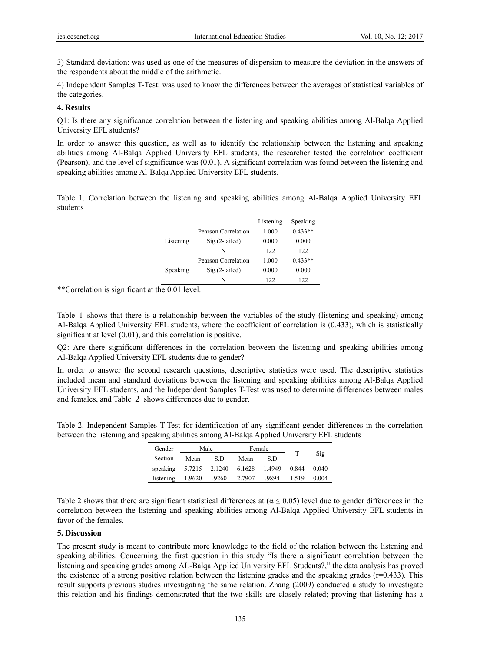3) Standard deviation: was used as one of the measures of dispersion to measure the deviation in the answers of the respondents about the middle of the arithmetic.

4) Independent Samples T-Test: was used to know the differences between the averages of statistical variables of the categories.

#### **4. Results**

Q1: Is there any significance correlation between the listening and speaking abilities among Al-Balqa Applied University EFL students?

In order to answer this question, as well as to identify the relationship between the listening and speaking abilities among Al-Balqa Applied University EFL students, the researcher tested the correlation coefficient (Pearson), and the level of significance was (0.01). A significant correlation was found between the listening and speaking abilities among Al-Balqa Applied University EFL students.

Table 1. Correlation between the listening and speaking abilities among Al-Balqa Applied University EFL students

|           |                     | Listening | Speaking  |
|-----------|---------------------|-----------|-----------|
|           | Pearson Correlation | 1.000     | $0.433**$ |
| Listening | $Sig.(2-tailed)$    | 0.000     | 0.000     |
|           | N                   | 122.      | 122.      |
|           | Pearson Correlation | 1.000     | $0.433**$ |
| Speaking  | $Sig.(2-tailed)$    | 0.000     | 0.000     |
|           | N                   | 122.      | 122       |

\*\*Correlation is significant at the 0.01 level.

Table 1 shows that there is a relationship between the variables of the study (listening and speaking) among Al-Balqa Applied University EFL students, where the coefficient of correlation is (0.433), which is statistically significant at level  $(0.01)$ , and this correlation is positive.

Q2: Are there significant differences in the correlation between the listening and speaking abilities among Al-Balqa Applied University EFL students due to gender?

In order to answer the second research questions, descriptive statistics were used. The descriptive statistics included mean and standard deviations between the listening and speaking abilities among Al-Balqa Applied University EFL students, and the Independent Samples T-Test was used to determine differences between males and females, and Table 2 shows differences due to gender.

Table 2. Independent Samples T-Test for identification of any significant gender differences in the correlation between the listening and speaking abilities among Al-Balqa Applied University EFL students

| Gender    |               | Male  | Female |        |       |       |  |
|-----------|---------------|-------|--------|--------|-------|-------|--|
| Section   | Mean          |       | Mean   | S D    |       | Sig   |  |
| speaking  | 5.7215 2.1240 |       | 6.1628 | 1.4949 | 0.844 | 0.040 |  |
| listening | 1.9620        | .9260 | 2.7907 | .9894  | 1.519 | 0.004 |  |

Table 2 shows that there are significant statistical differences at ( $\alpha \le 0.05$ ) level due to gender differences in the correlation between the listening and speaking abilities among Al-Balqa Applied University EFL students in favor of the females.

## **5. Discussion**

The present study is meant to contribute more knowledge to the field of the relation between the listening and speaking abilities. Concerning the first question in this study "Is there a significant correlation between the listening and speaking grades among AL-Balqa Applied University EFL Students?," the data analysis has proved the existence of a strong positive relation between the listening grades and the speaking grades ( $r=0.433$ ). This result supports previous studies investigating the same relation. Zhang (2009) conducted a study to investigate this relation and his findings demonstrated that the two skills are closely related; proving that listening has a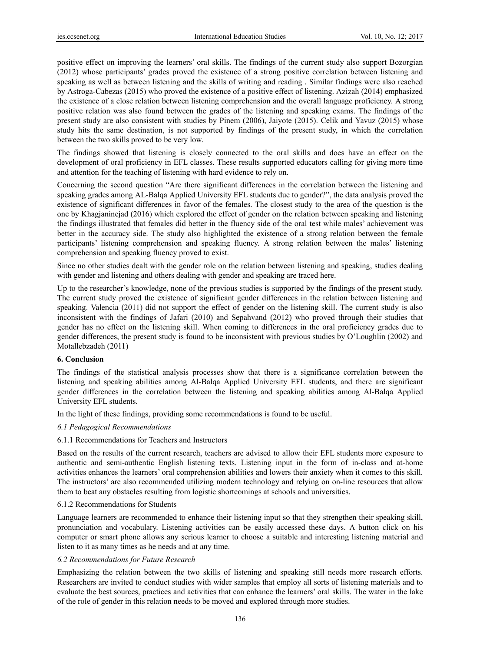positive effect on improving the learners' oral skills. The findings of the current study also support Bozorgian (2012) whose participants' grades proved the existence of a strong positive correlation between listening and speaking as well as between listening and the skills of writing and reading . Similar findings were also reached by Astroga-Cabezas (2015) who proved the existence of a positive effect of listening. Azizah (2014) emphasized the existence of a close relation between listening comprehension and the overall language proficiency. A strong positive relation was also found between the grades of the listening and speaking exams. The findings of the present study are also consistent with studies by Pinem (2006), Jaiyote (2015). Celik and Yavuz (2015) whose study hits the same destination, is not supported by findings of the present study, in which the correlation between the two skills proved to be very low.

The findings showed that listening is closely connected to the oral skills and does have an effect on the development of oral proficiency in EFL classes. These results supported educators calling for giving more time and attention for the teaching of listening with hard evidence to rely on.

Concerning the second question "Are there significant differences in the correlation between the listening and speaking grades among AL-Balqa Applied University EFL students due to gender?", the data analysis proved the existence of significant differences in favor of the females. The closest study to the area of the question is the one by Khagjaninejad (2016) which explored the effect of gender on the relation between speaking and listening the findings illustrated that females did better in the fluency side of the oral test while males' achievement was better in the accuracy side. The study also highlighted the existence of a strong relation between the female participants' listening comprehension and speaking fluency. A strong relation between the males' listening comprehension and speaking fluency proved to exist.

Since no other studies dealt with the gender role on the relation between listening and speaking, studies dealing with gender and listening and others dealing with gender and speaking are traced here.

Up to the researcher's knowledge, none of the previous studies is supported by the findings of the present study. The current study proved the existence of significant gender differences in the relation between listening and speaking. Valencia (2011) did not support the effect of gender on the listening skill. The current study is also inconsistent with the findings of Jafari (2010) and Sepahvand (2012) who proved through their studies that gender has no effect on the listening skill. When coming to differences in the oral proficiency grades due to gender differences, the present study is found to be inconsistent with previous studies by O'Loughlin (2002) and Motallebzadeh (2011)

## **6. Conclusion**

The findings of the statistical analysis processes show that there is a significance correlation between the listening and speaking abilities among Al-Balqa Applied University EFL students, and there are significant gender differences in the correlation between the listening and speaking abilities among Al-Balqa Applied University EFL students.

In the light of these findings, providing some recommendations is found to be useful.

## *6.1 Pedagogical Recommendations*

## 6.1.1 Recommendations for Teachers and Instructors

Based on the results of the current research, teachers are advised to allow their EFL students more exposure to authentic and semi-authentic English listening texts. Listening input in the form of in-class and at-home activities enhances the learners' oral comprehension abilities and lowers their anxiety when it comes to this skill. The instructors' are also recommended utilizing modern technology and relying on on-line resources that allow them to beat any obstacles resulting from logistic shortcomings at schools and universities.

## 6.1.2 Recommendations for Students

Language learners are recommended to enhance their listening input so that they strengthen their speaking skill, pronunciation and vocabulary. Listening activities can be easily accessed these days. A button click on his computer or smart phone allows any serious learner to choose a suitable and interesting listening material and listen to it as many times as he needs and at any time.

## *6.2 Recommendations for Future Research*

Emphasizing the relation between the two skills of listening and speaking still needs more research efforts. Researchers are invited to conduct studies with wider samples that employ all sorts of listening materials and to evaluate the best sources, practices and activities that can enhance the learners' oral skills. The water in the lake of the role of gender in this relation needs to be moved and explored through more studies.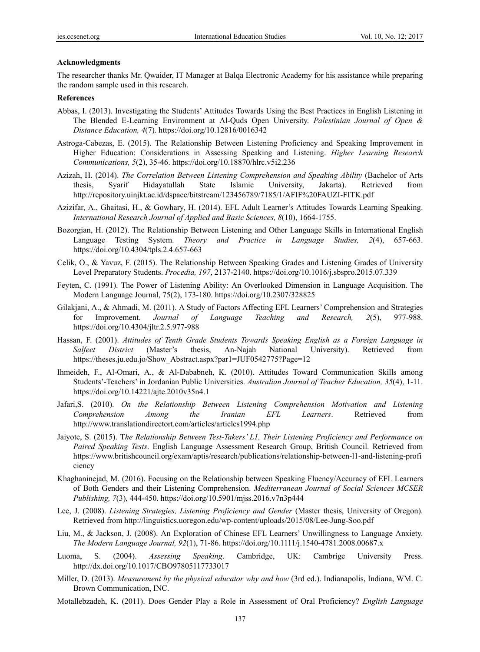#### **Acknowledgments**

The researcher thanks Mr. Qwaider, IT Manager at Balqa Electronic Academy for his assistance while preparing the random sample used in this research.

## **References**

- Abbas, I. (2013). Investigating the Students' Attitudes Towards Using the Best Practices in English Listening in The Blended E-Learning Environment at Al-Quds Open University. *Palestinian Journal of Open & Distance Education, 4*(7). https://doi.org/10.12816/0016342
- Astroga-Cabezas, E. (2015). The Relationship Between Listening Proficiency and Speaking Improvement in Higher Education: Considerations in Assessing Speaking and Listening. *Higher Learning Research Communications, 5*(2), 35-46. https://doi.org/10.18870/hlrc.v5i2.236
- Azizah, H. (2014). *The Correlation Between Listening Comprehension and Speaking Ability* (Bachelor of Arts thesis, Syarif Hidayatullah State Islamic University, Jakarta). Retrieved from http://repository.uinjkt.ac.id/dspace/bitstream/123456789/7185/1/AFIF%20FAUZI-FITK.pdf
- Azizifar, A., Ghaitasi, H., & Gowhary, H. (2014). EFL Adult Learner's Attitudes Towards Learning Speaking. *International Research Journal of Applied and Basic Sciences, 8*(10), 1664-1755.
- Bozorgian, H. (2012). The Relationship Between Listening and Other Language Skills in International English Language Testing System. *Theory and Practice in Language Studies, 2*(4), 657-663. https://doi.org/10.4304/tpls.2.4.657-663
- Celik, O., & Yavuz, F. (2015). The Relationship Between Speaking Grades and Listening Grades of University Level Preparatory Students. *Procedia, 197*, 2137-2140. https://doi.org/10.1016/j.sbspro.2015.07.339
- Feyten, C. (1991). The Power of Listening Ability: An Overlooked Dimension in Language Acquisition. The Modern Language Journal, 75(2), 173-180. https://doi.org/10.2307/328825
- Gilakjani, A., & Ahmadi, M. (2011). A Study of Factors Affecting EFL Learners' Comprehension and Strategies for Improvement. *Journal of Language Teaching and Research, 2*(5), 977-988. https://doi.org/10.4304/jltr.2.5.977-988
- Hassan, F. (2001). *Attitudes of Tenth Grade Students Towards Speaking English as a Foreign Language in Salfeet District* (Master's thesis, An-Najah National University). Retrieved from https://theses.ju.edu.jo/Show\_Abstract.aspx?par1=JUF0542775?Page=12
- Ihmeideh, F., Al-Omari, A., & Al-Dababneh, K. (2010). Attitudes Toward Communication Skills among Students'-Teachers' in Jordanian Public Universities. *Australian Journal of Teacher Education, 35*(4), 1-11. https://doi.org/10.14221/ajte.2010v35n4.1
- Jafari,S. (2010). *On the Relationship Between Listening Comprehension Motivation and Listening Comprehension Among the Iranian EFL Learners*. Retrieved from http://www.translationdirectort.com/articles/articles1994.php
- Jaiyote, S. (2015). T*he Relationship Between Test-Takers' L1, Their Listening Proficiency and Performance on Paired Speaking Tests*. English Language Assessment Research Group, British Council. Retrieved from https://www.britishcouncil.org/exam/aptis/research/publications/relationship-between-l1-and-listening-profi ciency
- Khaghaninejad, M. (2016). Focusing on the Relationship between Speaking Fluency/Accuracy of EFL Learners of Both Genders and their Listening Comprehension. *Mediterranean Journal of Social Sciences MCSER Publishing, 7*(3), 444-450. https://doi.org/10.5901/mjss.2016.v7n3p444
- Lee, J. (2008). *Listening Strategies, Listening Proficiency and Gender* (Master thesis, University of Oregon). Retrieved from http://linguistics.uoregon.edu/wp-content/uploads/2015/08/Lee-Jung-Soo.pdf
- Liu, M., & Jackson, J. (2008). An Exploration of Chinese EFL Learners' Unwillingness to Language Anxiety. *The Modern Language Journal, 92*(1), 71-86. https://doi.org/10.1111/j.1540-4781.2008.00687.x
- Luoma, S. (2004). *Assessing Speaking*. Cambridge, UK: Cambrige University Press. http://dx.doi.org/10.1017/CBO97805117733017
- Miller, D. (2013). *Measurement by the physical educator why and how* (3rd ed.). Indianapolis, Indiana, WM. C. Brown Communication, INC.
- Motallebzadeh, K. (2011). Does Gender Play a Role in Assessment of Oral Proficiency? *English Language*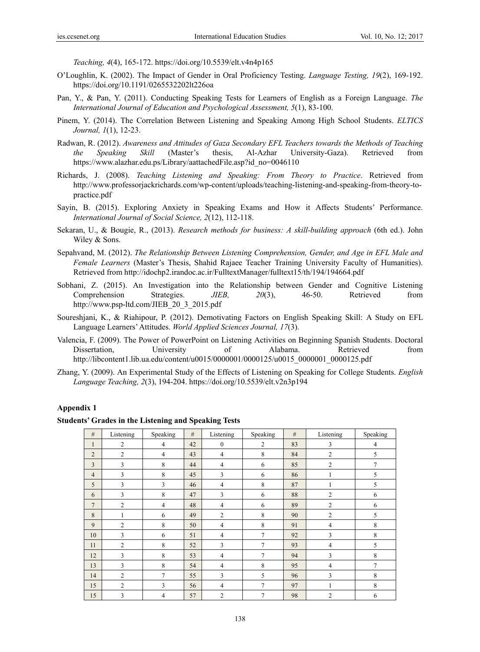*Teaching, 4*(4), 165-172. https://doi.org/10.5539/elt.v4n4p165

- O'Loughlin, K. (2002). The Impact of Gender in Oral Proficiency Testing. *Language Testing, 19*(2), 169-192. https://doi.org/10.1191/0265532202lt226oa
- Pan, Y., & Pan, Y. (2011). Conducting Speaking Tests for Learners of English as a Foreign Language. *The International Journal of Education and Psychological Assessment, 5*(1), 83-100.
- Pinem, Y. (2014). The Correlation Between Listening and Speaking Among High School Students. *ELTICS Journal, 1*(1), 12-23.
- Radwan, R. (2012). *Awareness and Attitudes of Gaza Secondary EFL Teachers towards the Methods of Teaching the Speaking Skill* (Master's thesis, Al-Azhar University-Gaza). Retrieved from https://www.alazhar.edu.ps/Library/aattachedFile.asp?id\_no=0046110
- Richards, J. (2008). *Teaching Listening and Speaking: From Theory to Practice*. Retrieved from http://www.professorjackrichards.com/wp-content/uploads/teaching-listening-and-speaking-from-theory-topractice.pdf
- Sayin, B. (2015). Exploring Anxiety in Speaking Exams and How it Affects Students' Performance. *International Journal of Social Science, 2*(12), 112-118.
- Sekaran, U., & Bougie, R., (2013). *Research methods for business: A skill-building approach* (6th ed.). John Wiley & Sons.
- Sepahvand, M. (2012). *The Relationship Between Listening Comprehension, Gender, and Age in EFL Male and Female Learners* (Master's Thesis, Shahid Rajaee Teacher Training University Faculty of Humanities). Retrieved from http://idochp2.irandoc.ac.ir/FulltextManager/fulltext15/th/194/194664.pdf
- Sobhani, Z. (2015). An Investigation into the Relationship between Gender and Cognitive Listening Comprehension Strategies. *JIEB, 20*(3), 46-50. Retrieved from http://www.psp-ltd.com/JIEB\_20\_3\_2015.pdf
- Soureshjani, K., & Riahipour, P. (2012). Demotivating Factors on English Speaking Skill: A Study on EFL Language Learners' Attitudes. *World Applied Sciences Journal, 17*(3).
- Valencia, F. (2009). The Power of PowerPoint on Listening Activities on Beginning Spanish Students. Doctoral Dissertation, University of Alabama. Retrieved from http://libcontent1.lib.ua.edu/content/u0015/0000001/0000125/u0015\_0000001\_0000125.pdf
- Zhang, Y. (2009). An Experimental Study of the Effects of Listening on Speaking for College Students. *English Language Teaching, 2*(3), 194-204. https://doi.org/10.5539/elt.v2n3p194

#### **Appendix 1**

**Students' Grades in the Listening and Speaking Tests** 

| #              | Listening      | Speaking       | #  | Listening      | Speaking       | #  | Listening      | Speaking |
|----------------|----------------|----------------|----|----------------|----------------|----|----------------|----------|
| $\mathbf{1}$   | $\overline{2}$ | $\overline{4}$ | 42 | $\mathbf{0}$   | 2              | 83 | 3              | 4        |
| $\overline{2}$ | $\overline{2}$ | 4              | 43 | 4              | 8              | 84 | $\overline{2}$ | 5        |
| 3              | 3              | 8              | 44 | 4              | 6              | 85 | $\overline{2}$ | 7        |
| $\overline{4}$ | 3              | 8              | 45 | 3              | 6              | 86 | 1              | 5        |
| 5              | 3              | 3              | 46 | 4              | 8              | 87 |                | 5        |
| 6              | 3              | 8              | 47 | 3              | 6              | 88 | $\overline{2}$ | 6        |
| $\overline{7}$ | $\overline{2}$ | 4              | 48 | 4              | 6              | 89 | $\overline{2}$ | 6        |
| 8              | 1              | 6              | 49 | $\overline{2}$ | 8              | 90 | $\overline{2}$ | 5        |
| 9              | $\overline{2}$ | 8              | 50 | 4              | 8              | 91 | 4              | 8        |
| 10             | 3              | 6              | 51 | 4              | 7              | 92 | 3              | 8        |
| 11             | $\overline{2}$ | 8              | 52 | 3              | $\overline{7}$ | 93 | 4              | 5        |
| 12             | 3              | 8              | 53 | 4              | 7              | 94 | 3              | 8        |
| 13             | 3              | 8              | 54 | 4              | 8              | 95 | 4              | 7        |
| 14             | $\overline{2}$ | $\overline{7}$ | 55 | 3              | 5              | 96 | 3              | 8        |
| 15             | $\overline{2}$ | 3              | 56 | 4              | 7              | 97 | 1              | 8        |
| 15             | 3              | 4              | 57 | $\overline{c}$ | $\overline{7}$ | 98 | $\overline{2}$ | 6        |